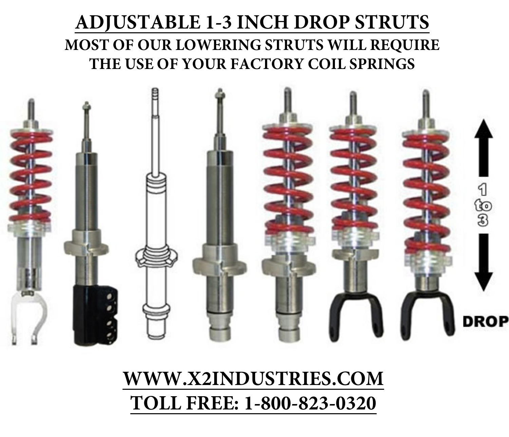### **ADJUSTABLE 1-3 INCH DROP STRUTS MOST OF OUR LOWERING STRUTS WILL REQUIRE THE USE OF YOUR FACTORY COIL SPRINGS**



**WWW.X2INDUSTRIES.COM TOLL FREE: 1-800-823-0320**